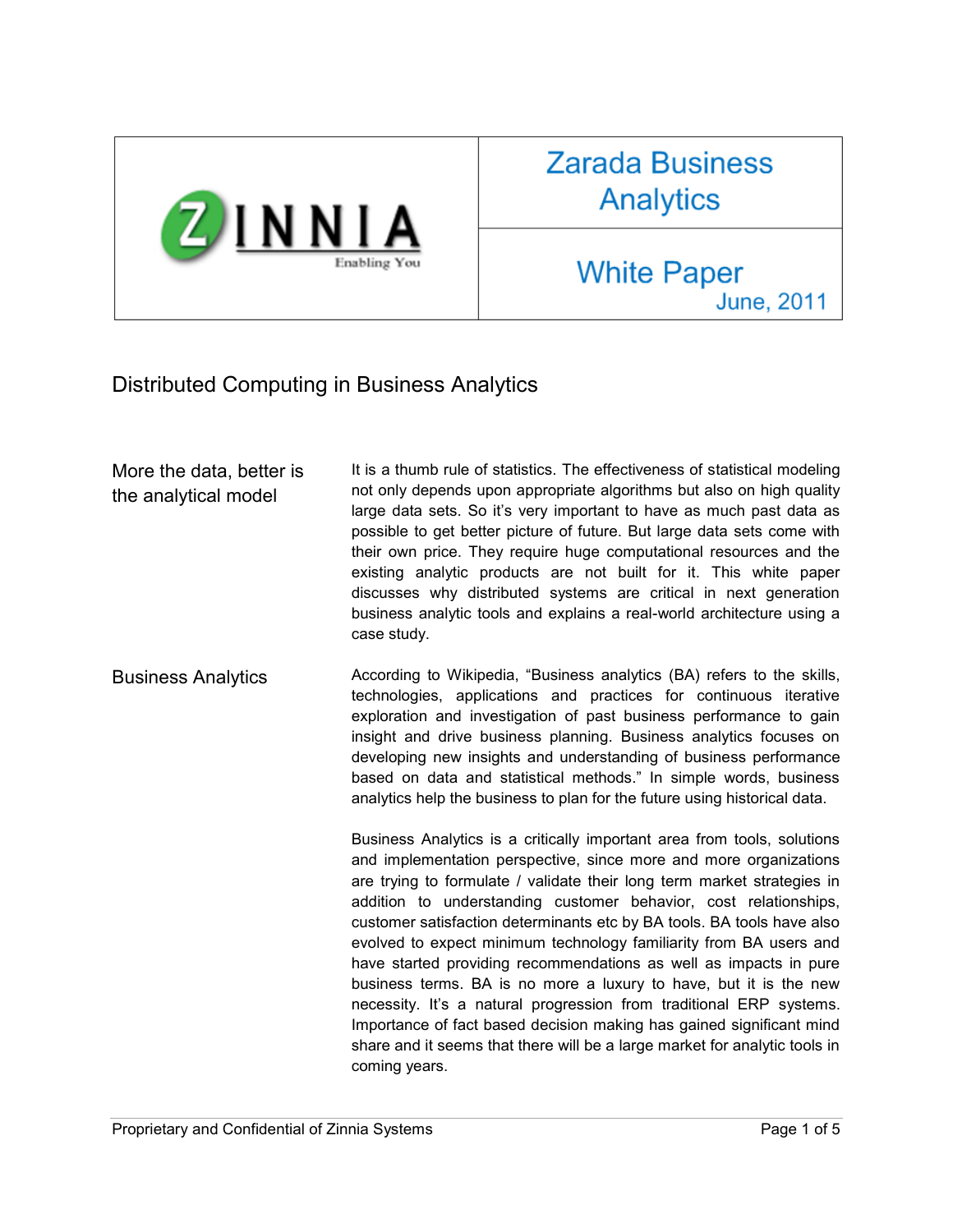

## **Zarada Business Analytics**

## **White Paper June, 2011**

## Distributed Computing in Business Analytics

More the data, better is the analytical model It is a thumb rule of statistics. The effectiveness of statistical modeling not only depends upon appropriate algorithms but also on high quality large data sets. So it's very important to have as much past data as possible to get better picture of future. But large data sets come with their own price. They require huge computational resources and the existing analytic products are not built for it. This white paper discusses why distributed systems are critical in next generation business analytic tools and explains a real-world architecture using a case study.

Business Analytics **According to Wikipedia, "Business analytics (BA) refers to the skills,** technologies, applications and practices for continuous iterative exploration and investigation of past business performance to gain insight and drive business planning. Business analytics focuses on developing new insights and understanding of business performance based on data and statistical methods." In simple words, business analytics help the business to plan for the future using historical data.

> Business Analytics is a critically important area from tools, solutions and implementation perspective, since more and more organizations are trying to formulate / validate their long term market strategies in addition to understanding customer behavior, cost relationships, customer satisfaction determinants etc by BA tools. BA tools have also evolved to expect minimum technology familiarity from BA users and have started providing recommendations as well as impacts in pure business terms. BA is no more a luxury to have, but it is the new necessity. It's a natural progression from traditional ERP systems. Importance of fact based decision making has gained significant mind share and it seems that there will be a large market for analytic tools in coming years.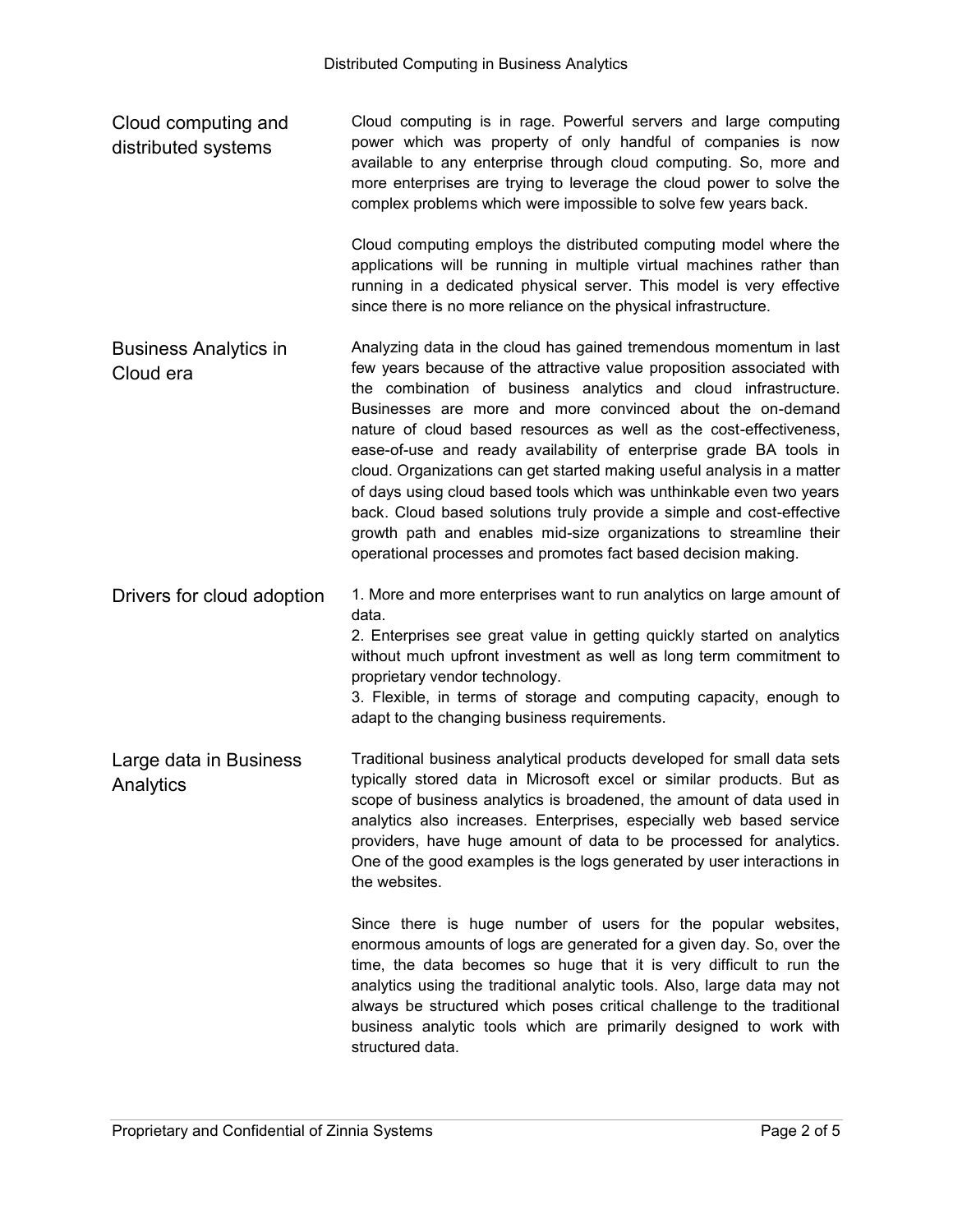Cloud computing and distributed systems Cloud computing is in rage. Powerful servers and large computing power which was property of only handful of companies is now available to any enterprise through cloud computing. So, more and more enterprises are trying to leverage the cloud power to solve the complex problems which were impossible to solve few years back.

> Cloud computing employs the distributed computing model where the applications will be running in multiple virtual machines rather than running in a dedicated physical server. This model is very effective since there is no more reliance on the physical infrastructure.

- Business Analytics in Cloud era Analyzing data in the cloud has gained tremendous momentum in last few years because of the attractive value proposition associated with the combination of business analytics and cloud infrastructure. Businesses are more and more convinced about the on-demand nature of cloud based resources as well as the cost-effectiveness, ease-of-use and ready availability of enterprise grade BA tools in cloud. Organizations can get started making useful analysis in a matter of days using cloud based tools which was unthinkable even two years back. Cloud based solutions truly provide a simple and cost-effective growth path and enables mid-size organizations to streamline their operational processes and promotes fact based decision making.
- Drivers for cloud adoption 1. More and more enterprises want to run analytics on large amount of data.

2. Enterprises see great value in getting quickly started on analytics without much upfront investment as well as long term commitment to proprietary vendor technology.

3. Flexible, in terms of storage and computing capacity, enough to adapt to the changing business requirements.

Large data in Business Analytics Traditional business analytical products developed for small data sets typically stored data in Microsoft excel or similar products. But as scope of business analytics is broadened, the amount of data used in analytics also increases. Enterprises, especially web based service providers, have huge amount of data to be processed for analytics. One of the good examples is the logs generated by user interactions in the websites.

> Since there is huge number of users for the popular websites, enormous amounts of logs are generated for a given day. So, over the time, the data becomes so huge that it is very difficult to run the analytics using the traditional analytic tools. Also, large data may not always be structured which poses critical challenge to the traditional business analytic tools which are primarily designed to work with structured data.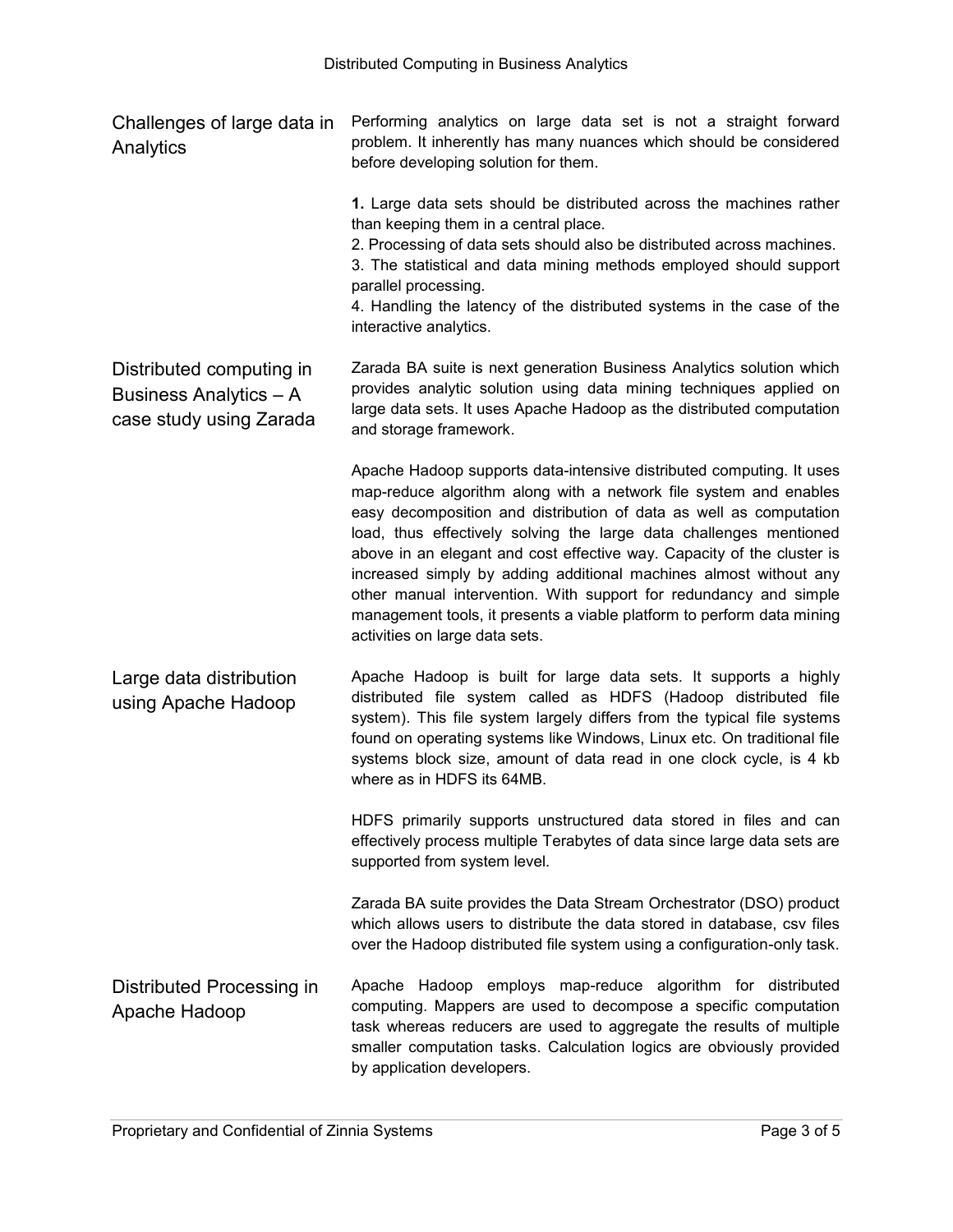| Challenges of large data in Performing analytics on large data set is not a straight forward |                                                                    |  |  |  |  |  |  |  |  |  |  |
|----------------------------------------------------------------------------------------------|--------------------------------------------------------------------|--|--|--|--|--|--|--|--|--|--|
| Analytics                                                                                    | problem. It inherently has many nuances which should be considered |  |  |  |  |  |  |  |  |  |  |
|                                                                                              | before developing solution for them.                               |  |  |  |  |  |  |  |  |  |  |

**1.** Large data sets should be distributed across the machines rather than keeping them in a central place.

2. Processing of data sets should also be distributed across machines.

3. The statistical and data mining methods employed should support parallel processing.

4. Handling the latency of the distributed systems in the case of the interactive analytics.

Distributed computing in Business Analytics – A case study using Zarada Zarada BA suite is next generation Business Analytics solution which provides analytic solution using data mining techniques applied on large data sets. It uses Apache Hadoop as the distributed computation and storage framework.

> Apache Hadoop supports data-intensive distributed computing. It uses map-reduce algorithm along with a network file system and enables easy decomposition and distribution of data as well as computation load, thus effectively solving the large data challenges mentioned above in an elegant and cost effective way. Capacity of the cluster is increased simply by adding additional machines almost without any other manual intervention. With support for redundancy and simple management tools, it presents a viable platform to perform data mining activities on large data sets.

Large data distribution using Apache Hadoop Apache Hadoop is built for large data sets. It supports a highly distributed file system called as HDFS (Hadoop distributed file system). This file system largely differs from the typical file systems found on operating systems like Windows, Linux etc. On traditional file systems block size, amount of data read in one clock cycle, is 4 kb where as in HDFS its 64MB.

> HDFS primarily supports unstructured data stored in files and can effectively process multiple Terabytes of data since large data sets are supported from system level.

Zarada BA suite provides the Data Stream Orchestrator (DSO) product which allows users to distribute the data stored in database, csv files over the Hadoop distributed file system using a configuration-only task.

Distributed Processing in Apache Hadoop Apache Hadoop employs map-reduce algorithm for distributed computing. Mappers are used to decompose a specific computation task whereas reducers are used to aggregate the results of multiple smaller computation tasks. Calculation logics are obviously provided by application developers.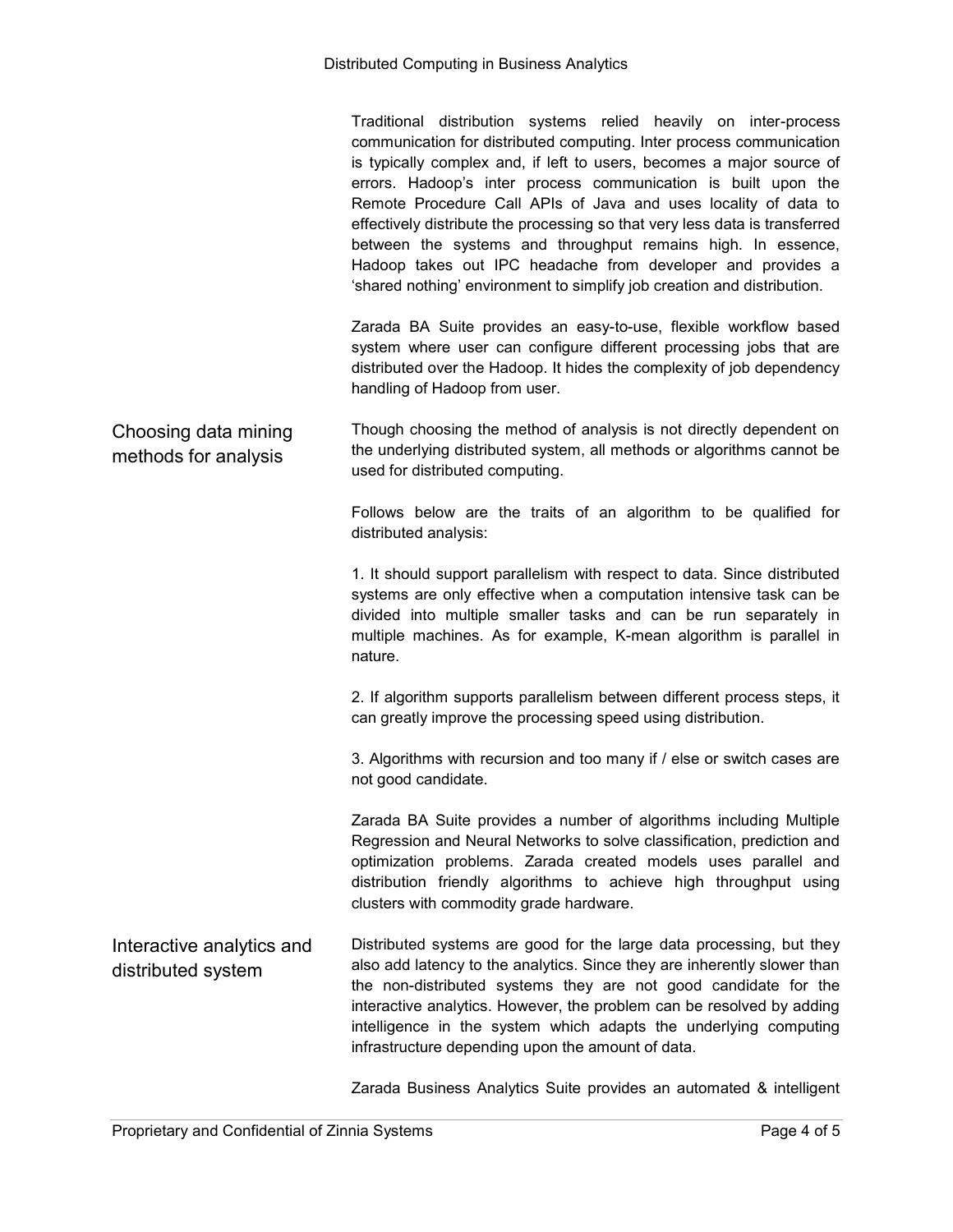|                                                 | Traditional distribution systems relied heavily on inter-process<br>communication for distributed computing. Inter process communication<br>is typically complex and, if left to users, becomes a major source of<br>errors. Hadoop's inter process communication is built upon the<br>Remote Procedure Call APIs of Java and uses locality of data to<br>effectively distribute the processing so that very less data is transferred<br>between the systems and throughput remains high. In essence,<br>Hadoop takes out IPC headache from developer and provides a<br>'shared nothing' environment to simplify job creation and distribution.<br>Zarada BA Suite provides an easy-to-use, flexible workflow based<br>system where user can configure different processing jobs that are<br>distributed over the Hadoop. It hides the complexity of job dependency<br>handling of Hadoop from user. |
|-------------------------------------------------|------------------------------------------------------------------------------------------------------------------------------------------------------------------------------------------------------------------------------------------------------------------------------------------------------------------------------------------------------------------------------------------------------------------------------------------------------------------------------------------------------------------------------------------------------------------------------------------------------------------------------------------------------------------------------------------------------------------------------------------------------------------------------------------------------------------------------------------------------------------------------------------------------|
| Choosing data mining<br>methods for analysis    | Though choosing the method of analysis is not directly dependent on<br>the underlying distributed system, all methods or algorithms cannot be<br>used for distributed computing.                                                                                                                                                                                                                                                                                                                                                                                                                                                                                                                                                                                                                                                                                                                     |
|                                                 | Follows below are the traits of an algorithm to be qualified for<br>distributed analysis:                                                                                                                                                                                                                                                                                                                                                                                                                                                                                                                                                                                                                                                                                                                                                                                                            |
|                                                 | 1. It should support parallelism with respect to data. Since distributed<br>systems are only effective when a computation intensive task can be<br>divided into multiple smaller tasks and can be run separately in<br>multiple machines. As for example, K-mean algorithm is parallel in<br>nature.                                                                                                                                                                                                                                                                                                                                                                                                                                                                                                                                                                                                 |
|                                                 | 2. If algorithm supports parallelism between different process steps, it<br>can greatly improve the processing speed using distribution.                                                                                                                                                                                                                                                                                                                                                                                                                                                                                                                                                                                                                                                                                                                                                             |
|                                                 | 3. Algorithms with recursion and too many if / else or switch cases are<br>not good candidate.                                                                                                                                                                                                                                                                                                                                                                                                                                                                                                                                                                                                                                                                                                                                                                                                       |
|                                                 | Zarada BA Suite provides a number of algorithms including Multiple<br>Regression and Neural Networks to solve classification, prediction and<br>optimization problems. Zarada created models uses parallel and<br>distribution friendly algorithms to achieve high throughput using<br>clusters with commodity grade hardware.                                                                                                                                                                                                                                                                                                                                                                                                                                                                                                                                                                       |
| Interactive analytics and<br>distributed system | Distributed systems are good for the large data processing, but they<br>also add latency to the analytics. Since they are inherently slower than<br>the non-distributed systems they are not good candidate for the<br>interactive analytics. However, the problem can be resolved by adding<br>intelligence in the system which adapts the underlying computing<br>infrastructure depending upon the amount of data.                                                                                                                                                                                                                                                                                                                                                                                                                                                                                |

Zarada Business Analytics Suite provides an automated & intelligent